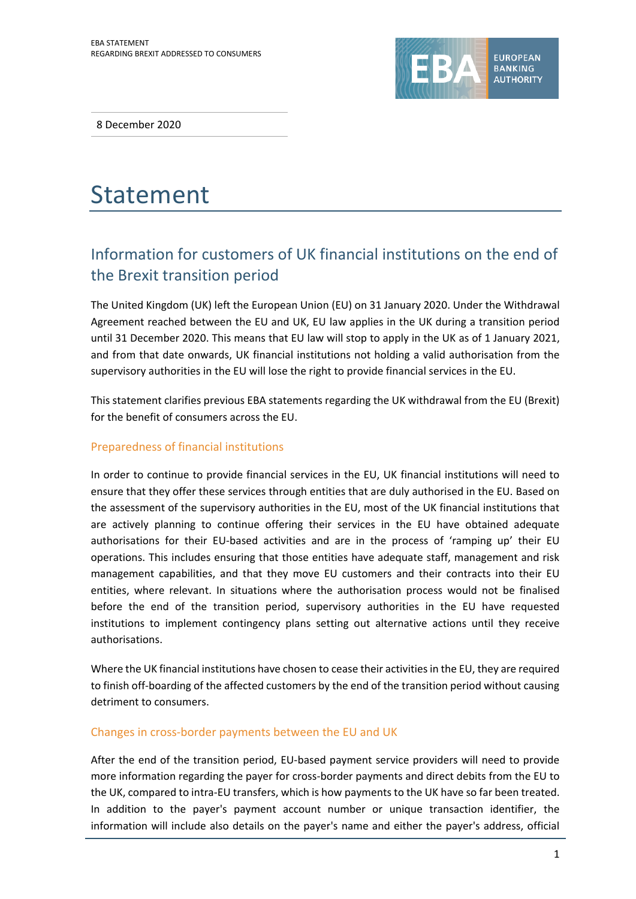

8 December 2020

# Statement

# Information for customers of UK financial institutions on the end of the Brexit transition period

The United Kingdom (UK) left the European Union (EU) on 31 January 2020. Under the Withdrawal Agreement reached between the EU and UK, EU law applies in the UK during a transition period until 31 December 2020. This means that EU law will stop to apply in the UK as of 1 January 2021, and from that date onwards, UK financial institutions not holding a valid authorisation from the supervisory authorities in the EU will lose the right to provide financial services in the EU.

This statement clarifies previous EBA statements regarding the UK withdrawal from the EU (Brexit) for the benefit of consumers across the EU.

## Preparedness of financial institutions

In order to continue to provide financial services in the EU, UK financial institutions will need to ensure that they offer these services through entities that are duly authorised in the EU. Based on the assessment of the supervisory authorities in the EU, most of the UK financial institutions that are actively planning to continue offering their services in the EU have obtained adequate authorisations for their EU-based activities and are in the process of 'ramping up' their EU operations. This includes ensuring that those entities have adequate staff, management and risk management capabilities, and that they move EU customers and their contracts into their EU entities, where relevant. In situations where the authorisation process would not be finalised before the end of the transition period, supervisory authorities in the EU have requested institutions to implement contingency plans setting out alternative actions until they receive authorisations.

Where the UK financial institutions have chosen to cease their activities in the EU, they are required to finish off-boarding of the affected customers by the end of the transition period without causing detriment to consumers.

### Changes in cross-border payments between the EU and UK

After the end of the transition period, EU-based payment service providers will need to provide more information regarding the payer for cross-border payments and direct debits from the EU to the UK, compared to intra-EU transfers, which is how payments to the UK have so far been treated. In addition to the payer's payment account number or unique transaction identifier, the information will include also details on the payer's name and either the payer's address, official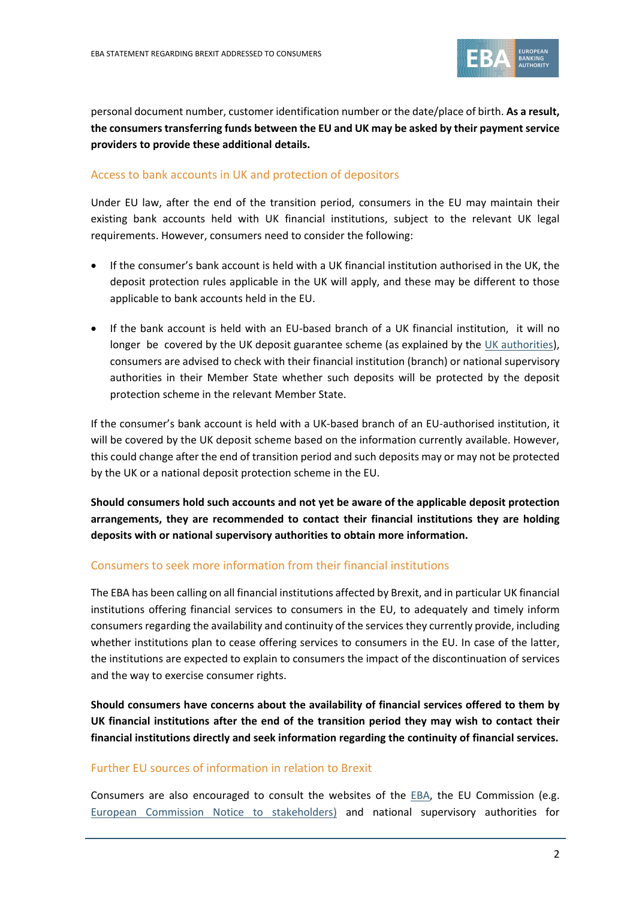

personal document number, customer identification number or the date/place of birth. **As a result, the consumers transferring funds between the EU and UK may be asked by their payment service providers to provide these additional details.** 

### Access to bank accounts in UK and protection of depositors

Under EU law, after the end of the transition period, consumers in the EU may maintain their existing bank accounts held with UK financial institutions, subject to the relevant UK legal requirements. However, consumers need to consider the following:

- If the consumer's bank account is held with a UK financial institution authorised in the UK, the deposit protection rules applicable in the UK will apply, and these may be different to those applicable to bank accounts held in the EU.
- If the bank account is held with an EU-based branch of a UK financial institution, it will no longer be covered by the UK deposit guarantee scheme (as explained by the [UK authorities\)](https://www.bankofengland.co.uk/prudential-regulation/authorisations/financial-services-compensation-scheme), consumers are advised to check with their financial institution (branch) or national supervisory authorities in their Member State whether such deposits will be protected by the deposit protection scheme in the relevant Member State.

If the consumer's bank account is held with a UK-based branch of an EU-authorised institution, it will be covered by the UK deposit scheme based on the information currently available. However, this could change after the end of transition period and such deposits may or may not be protected by the UK or a national deposit protection scheme in the EU.

**Should consumers hold such accounts and not yet be aware of the applicable deposit protection arrangements, they are recommended to contact their financial institutions they are holding deposits with or national supervisory authorities to obtain more information.**

#### Consumers to seek more information from their financial institutions

The EBA has been calling on all financial institutions affected by Brexit, and in particular UK financial institutions offering financial services to consumers in the EU, to adequately and timely inform consumers regarding the availability and continuity of the services they currently provide, including whether institutions plan to cease offering services to consumers in the EU. In case of the latter, the institutions are expected to explain to consumers the impact of the discontinuation of services and the way to exercise consumer rights.

**Should consumers have concerns about the availability of financial services offered to them by UK financial institutions after the end of the transition period they may wish to contact their financial institutions directly and seek information regarding the continuity of financial services.**

#### Further EU sources of information in relation to Brexit

Consumers are also encouraged to consult the websites of the  $EBA$ , the EU Commission (e.g. [European Commission Notice to stakeholders\)](https://ec.europa.eu/info/sites/info/files/brexit_files/info_site/banking_services_en.pdf) and national supervisory authorities for